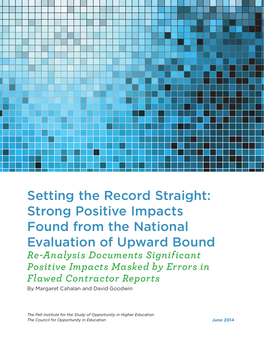

Setting the Record Straight: Strong Positive Impacts Found from the National Evaluation of Upward Bound *Re-Analysis Documents Significant Positive Impacts Masked by Errors in Flawed Contractor Reports*

By Margaret Cahalan and David Goodwin

*The Pell Institute for the Study of Opportunity in Higher Education The Council for Opportunity in Education* **June 2014**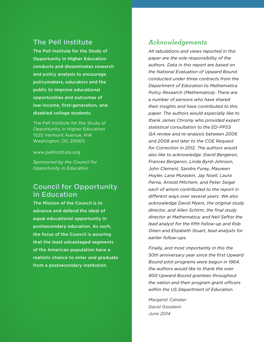## The Pell Institute

The Pell Institute for the Study of Opportunity in Higher Education conducts and disseminates research and policy analysis to encourage policymakers, educators and the public to improve educational opportunities and outcomes of low-income, first-generation, and disabled college students.

The Pell Institute for the Study of Opportunity in Higher Education 1025 Vermont Avenue, NW Washington, DC 20005

www.pellinstitute.org

*Sponsored by the Council for Opportunity in Education*

## Council for Opportunity in Education

The Mission of the Council is to advance and defend the ideal of equal educational opportunity in postsecondary education. As such, the focus of the Council is assuring that the least advantaged segments of the American population have a realistic chance to enter and graduate from a postsecondary institution.

## *Acknowledgements*

*All tabulations and views reported in this paper are the sole responsibility of the authors. Data in this report are based on the National Evaluation of Upward Bound conducted under three contracts from the Department of Education to Mathematica Policy Research (Mathematica). There are a number of persons who have shared their insights and have contributed to this paper. The authors would especially like to thank James Chromy who provided expert statistical consultation to the ED-PPSS QA review and re-analysis between 2006 and 2008 and later to the COE Request for Correction in 2012. The authors would also like to acknowledge: David Bergeron, Frances Bergeron, Linda Byrd-Johnson, John Clement, Sandra Furey, Maureen Hoyler, Lana Muraskin, Jay Noell, Laura Perna, Arnold Mitchem, and Peter Seigel each of whom contributed to the report in different ways over several years. We also acknowledge David Myers, the original study director, and Allen Schirm, the final study director at Mathematica; and Neil Seftor the lead analyst for the fifth follow-up and Rob Olsen and Elizabeth Stuart, lead analysts for earlier follow-ups.*

*Finally, and most importantly in this the 50th anniversary year since the first Upward Bound pilot programs were begun in 1964, the authors would like to thank the over 900 Upward Bound grantees throughout the nation and their program grant officers within the US Department of Education.*

*Margaret Cahalan David Goodwin June 2014*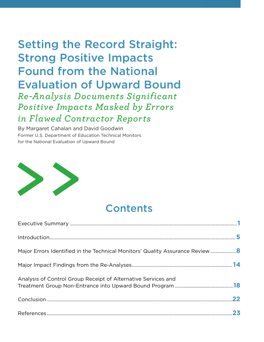# Setting the Record Straight: Strong Positive Impacts Found from the National Evaluation of Upward Bound

*Re-Analysis Documents Significant Positive Impacts Masked by Errors in Flawed Contractor Reports*

By Margaret Cahalan and David Goodwin Former U.S. Department of Education Technical Monitors for the National Evaluation of Upward Bound



# **Contents**

| Introduction 5                                                                 |  |
|--------------------------------------------------------------------------------|--|
| Major Errors Identified in the Technical Monitors' Quality Assurance Review  8 |  |
|                                                                                |  |
| Analysis of Control Group Receipt of Alternative Services and                  |  |
|                                                                                |  |
|                                                                                |  |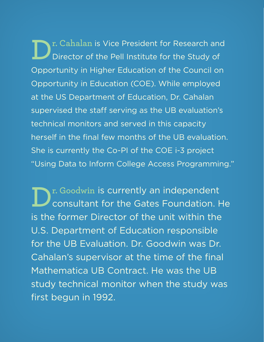**D** r. Cahalan is Vice President for Research and<br>Director of the Pell Institute for the Study of Director of the Pell Institute for the Study of Opportunity in Higher Education of the Council on Opportunity in Education (COE). While employed at the US Department of Education, Dr. Cahalan supervised the staff serving as the UB evaluation's technical monitors and served in this capacity herself in the final few months of the UB evaluation. She is currently the Co-PI of the COE i-3 project "Using Data to Inform College Access Programming."

**D**<sup>r. Goodwin is currently an independent consultant for the Gates Foundation. H</sup> consultant for the Gates Foundation. He is the former Director of the unit within the U.S. Department of Education responsible for the UB Evaluation. Dr. Goodwin was Dr. Cahalan's supervisor at the time of the final Mathematica UB Contract. He was the UB study technical monitor when the study was first begun in 1992.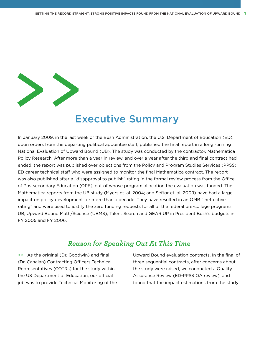

## Executive Summary

In January 2009, in the last week of the Bush Administration, the U.S. Department of Education (ED), upon orders from the departing political appointee staff, published the final report in a long running National Evaluation of Upward Bound (UB). The study was conducted by the contractor, Mathematica Policy Research. After more than a year in review, and over a year after the third and final contract had ended, the report was published over objections from the Policy and Program Studies Services (PPSS) ED career technical staff who were assigned to monitor the final Mathematica contract. The report was also published after a "disapproval to publish" rating in the formal review process from the Office of Postsecondary Education (OPE), out of whose program allocation the evaluation was funded. The Mathematica reports from the UB study (Myers et. al. 2004; and Seftor et. al. 2009) have had a large impact on policy development for more than a decade. They have resulted in an OMB "ineffective rating" and were used to justify the zero funding requests for all of the federal pre-college programs, UB, Upward Bound Math/Science (UBMS), Talent Search and GEAR UP in President Bush's budgets in FY 2005 and FY 2006.

## *Reason for Speaking Out At This Time*

>> As the original (Dr. Goodwin) and final (Dr. Cahalan) Contracting Officers Technical Representatives (COTRs) for the study within the US Department of Education, our official job was to provide Technical Monitoring of the Upward Bound evaluation contracts. In the final of three sequential contracts, after concerns about the study were raised, we conducted a Quality Assurance Review (ED-PPSS QA review), and found that the impact estimations from the study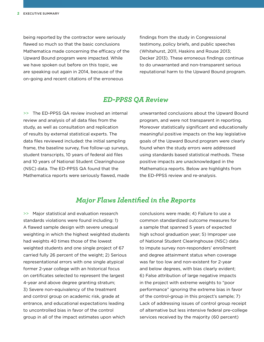being reported by the contractor were seriously flawed so much so that the basic conclusions Mathematica made concerning the efficacy of the Upward Bound program were impacted. While we have spoken out before on this topic, we are speaking out again in 2014, because of the on-going and recent citations of the erroneous

findings from the study in Congressional testimony, policy briefs, and public speeches (Whitehurst, 2011, Haskins and Rouse 2013; Decker 2013). These erroneous findings continue to do unwarranted and non-transparent serious reputational harm to the Upward Bound program.

### *ED-PPSS QA Review*

>> The ED-PPSS QA review involved an internal review and analysis of all data files from the study, as well as consultation and replication of results by external statistical experts. The data files reviewed included: the initial sampling frame, the baseline survey, five follow-up surveys, student transcripts, 10 years of federal aid files and 10 years of National Student Clearinghouse (NSC) data. The ED-PPSS QA found that the Mathematica reports were seriously flawed, made unwarranted conclusions about the Upward Bound program, and were not transparent in reporting. Moreover statistically significant and educationally meaningful positive impacts on the key legislative goals of the Upward Bound program were clearly found when the study errors were addressed using standards based statistical methods. These positive impacts are unacknowledged in the Mathematica reports. Below are highlights from the ED-PPSS review and re-analysis.

## *Major Flaws Identified in the Reports*

>> Major statistical and evaluation research standards violations were found including: 1) A flawed sample design with severe unequal weighting in which the highest weighted students had weights 40 times those of the lowest weighted students and one single project of 67 carried fully 26 percent of the weight; 2) Serious representational errors with one single atypical former 2-year college with an historical focus on certificates selected to represent the largest 4-year and above degree granting stratum; 3) Severe non-equivalency of the treatment and control group on academic risk, grade at entrance, and educational expectations leading to uncontrolled bias in favor of the control group in all of the impact estimates upon which

conclusions were made; 4) Failure to use a common standardized outcome measures for a sample that spanned 5 years of expected high school graduation year; 5) Improper use of National Student Clearinghouse (NSC) data to impute survey non-responders' enrollment and degree attainment status when coverage was far too low and non-existent for 2-year and below degrees, with bias clearly evident; 6) False attribution of large negative impacts in the project with extreme weights to "poor performance" ignoring the extreme bias in favor of the control-group in this project's sample; 7) Lack of addressing issues of control group receipt of alternative but less intensive federal pre-college services received by the majority (60 percent)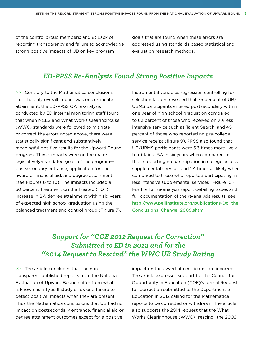of the control group members; and 8) Lack of reporting transparency and failure to acknowledge strong positive impacts of UB on key program

goals that are found when these errors are addressed using standards based statistical and evaluation research methods.

### *ED-PPSS Re-Analysis Found Strong Positive Impacts*

>> Contrary to the Mathematica conclusions that the only overall impact was on certificate attainment, the ED-PPSS QA re-analysis conducted by ED internal monitoring staff found that when NCES and What Works Clearinghouse (WWC) standards were followed to mitigate or correct the errors noted above, there were statistically significant and substantively meaningful positive results for the Upward Bound program. These impacts were on the major legislatively-mandated goals of the program postsecondary entrance, application for and award of financial aid, and degree attainment (see Figures 6 to 10). The impacts included a 50 percent Treatment on the Treated (TOT) increase in BA degree attainment within six years of expected high school graduation using the balanced treatment and control group (Figure 7).

Instrumental variables regression controlling for selection factors revealed that 75 percent of UB/ UBMS participants entered postsecondary within one year of high school graduation compared to 62 percent of those who received only a less intensive service such as Talent Search, and 45 percent of those who reported no pre-college service receipt (figure 9). PPSS also found that UB/UBMS participants were 3.3 times more likely to obtain a BA in six years when compared to those reporting no participation in college access supplemental services and 1.4 times as likely when compared to those who reported participating in less intensive supplemental services (Figure 10). For the full re-analysis report detailing issues and full documentation of the re-analysis results, see http://www.pellinstitute.org/publications-Do\_the\_ Conclusions\_Change\_2009.shtml

## *Support for "COE 2012 Request for Correction" Submitted to ED in 2012 and for the "2014 Request to Rescind" the WWC UB Study Rating*

>> The article concludes that the nontransparent published reports from the National Evaluation of Upward Bound suffer from what is known as a Type II study error, or a failure to detect positive impacts when they are present. Thus the Mathematica conclusions that UB had no impact on postsecondary entrance, financial aid or degree attainment outcomes except for a positive

impact on the award of certificates are incorrect. The article expresses support for the Council for Opportunity in Education (COE)'s formal Request for Correction submitted to the Department of Education in 2012 calling for the Mathematica reports to be corrected or withdrawn. The article also supports the 2014 request that the What Works Clearinghouse (WWC) "rescind" the 2009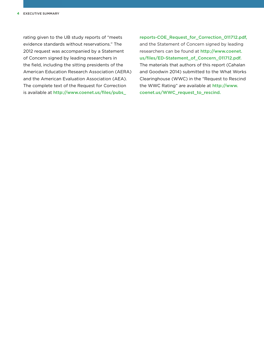rating given to the UB study reports of "meets evidence standards without reservations." The 2012 request was accompanied by a Statement of Concern signed by leading researchers in the field, including the sitting presidents of the American Education Research Association (AERA) and the American Evaluation Association (AEA). The complete text of the Request for Correction is available at http://www.coenet.us/files/pubs\_

reports-COE\_Request\_for\_Correction\_011712.pdf, and the Statement of Concern signed by leading researchers can be found at http://www.coenet. us/files/ED-Statement\_of\_Concern\_011712.pdf. The materials that authors of this report (Cahalan and Goodwin 2014) submitted to the What Works Clearinghouse (WWC) in the "Request to Rescind the WWC Rating" are available at http://www. coenet.us/WWC\_request\_to\_rescind.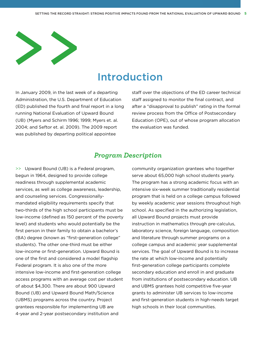

## Introduction

In January 2009, in the last week of a departing Administration, the U.S. Department of Education (ED) published the fourth and final report in a long running National Evaluation of Upward Bound (UB) (Myers and Schirm 1996; 1999; Myers et. al. 2004; and Seftor et. al. 2009). The 2009 report was published by departing political appointee

staff over the objections of the ED career technical staff assigned to monitor the final contract, and after a "disapproval to publish" rating in the formal review process from the Office of Postsecondary Education (OPE), out of whose program allocation the evaluation was funded.

### *Program Description*

>> Upward Bound (UB) is a Federal program, begun in 1964, designed to provide college readiness through supplemental academic services, as well as college awareness, leadership, and counseling services. Congressionallymandated eligibility requirements specify that two-thirds of the high school participants must be low-income (defined as 150 percent of the poverty level) and students who would potentially be the first person in their family to obtain a bachelor's (BA) degree (known as "first-generation college" students). The other one-third must be either low-income or first-generation. Upward Bound is one of the first and considered a model flagship Federal program. It is also one of the more intensive low-income and first-generation college access programs with an average cost per student of about \$4,300. There are about 900 Upward Bound (UB) and Upward Bound Math/Science (UBMS) programs across the country. Project grantees responsible for implementing UB are 4-year and 2-year postsecondary institution and

community organization grantees who together serve about 65,000 high school students yearly. The program has a strong academic focus with an intensive six-week summer traditionally residential program that is held on a college campus followed by weekly academic year sessions throughout high school. As specified in the authorizing legislation, all Upward Bound projects must provide instruction in mathematics through pre-calculus, laboratory science, foreign language, composition and literature through summer programs on a college campus and academic year supplemental services. The goal of Upward Bound is to increase the rate at which low-income and potentially first-generation college participants complete secondary education and enroll in and graduate from institutions of postsecondary education. UB and UBMS grantees hold competitive five-year grants to administer UB services to low-income and first-generation students in high-needs target high schools in their local communities.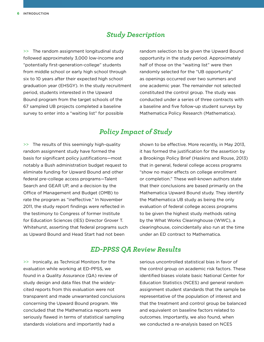## *Study Description*

>> The random assignment longitudinal study followed approximately 3,000 low-income and "potentially first-generation-college" students from middle school or early high school through six to 10 years after their expected high school graduation year (EHSGY). In the study recruitment period, students interested in the Upward Bound program from the target schools of the 67 sampled UB projects completed a baseline survey to enter into a "waiting list" for possible

random selection to be given the Upward Bound opportunity in the study period. Approximately half of those on the "waiting list" were then randomly selected for the "UB opportunity" as openings occurred over two summers and one academic year. The remainder not selected constituted the control group. The study was conducted under a series of three contracts with a baseline and five follow-up student surveys by Mathematica Policy Research (Mathematica).

## *Policy Impact of Study*

>> The results of this seemingly high-quality random assignment study have formed the basis for significant policy justifications—most notably a Bush administration budget request to eliminate funding for Upward Bound and other federal pre-college access programs—Talent Search and GEAR UP, and a decision by the Office of Management and Budget (OMB) to rate the program as "ineffective." In November 2011, the study report findings were reflected in the testimony to Congress of former Institute for Education Sciences (IES) Director Grover T. Whitehurst, asserting that federal programs such as Upward Bound and Head Start had not been

shown to be effective. More recently, in May 2013, it has formed the justification for the assertion by a Brookings Policy Brief (Haskins and Rouse, 2013) that in general, federal college access programs "show no major effects on college enrollment or completion." These well-known authors state that their conclusions are based primarily on the Mathematica Upward Bound study. They identify the Mathematica UB study as being the only evaluation of federal college access programs to be given the highest study methods rating by the What Works Clearinghouse (WWC), a clearinghouse, coincidentally also run at the time under an ED contract to Mathematica.

## *ED-PPSS QA Review Results*

>> Ironically, as Technical Monitors for the evaluation while working at ED-PPSS, we found in a Quality Assurance (QA) review of study design and data files that the widelycited reports from this evaluation were not transparent and made unwarranted conclusions concerning the Upward Bound program. We concluded that the Mathematica reports were seriously flawed in terms of statistical sampling standards violations and importantly had a

serious uncontrolled statistical bias in favor of the control group on academic risk factors. These identified biases violate basic National Center for Education Statistics (NCES) and general random assignment student standards that the sample be representative of the population of interest and that the treatment and control group be balanced and equivalent on baseline factors related to outcomes. Importantly, we also found, when we conducted a re-analysis based on NCES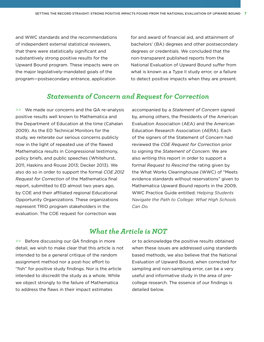and WWC standards and the recommendations of independent external statistical reviewers, that there were statistically significant and substantively strong positive results for the Upward Bound program. These impacts were on the major legislatively-mandated goals of the program—postsecondary entrance, application

for and award of financial aid, and attainment of bachelors' (BA) degrees and other postsecondary degrees or credentials. We concluded that the non-transparent published reports from the National Evaluation of Upward Bound suffer from what is known as a Type II study error, or a failure to detect positive impacts when they are present.

## *Statements of Concern and Request for Correction*

>> We made our concerns and the QA re-analysis positive results well known to Mathematica and the Department of Education at the time (Cahalan 2009). As the ED Technical Monitors for the study, we reiterate our serious concerns publicly now in the light of repeated use of the flawed Mathematica results in Congressional testimony, policy briefs, and public speeches (Whitehurst, 2011, Haskins and Rouse 2013; Decker 2013). We also do so in order to support the formal *COE 2012 Request for Correction* of the Mathematica final report, submitted to ED almost two years ago, by COE and their affiliated regional Educational Opportunity Organizations. These organizations represent TRIO program stakeholders in the evaluation. The COE request for correction was

accompanied by a *Statement of Concern* signed by, among others, the Presidents of the American Evaluation Association (AEA) and the American Education Research Association (AERA). Each of the signers of the Statement of Concern had reviewed the *COE Request for Correction* prior to signing the *Statement of Concern*. We are also writing this report in order to support a formal *Request to Rescind* the rating given by the What Works Clearinghouse (WWC) of "Meets evidence standards without reservations" given to Mathematica Upward Bound reports in the 2009, WWC Practice Guide entitled: *Helping Students Navigate the Path to College: What High Schools Can Do.*

## *What the Article is NOT*

>> Before discussing our QA findings in more detail, we wish to make clear that this article is not intended to be a general critique of the random assignment method nor a post-hoc effort to "fish" for positive study findings. Nor is the article intended to discredit the study as a whole. While we object strongly to the failure of Mathematica to address the flaws in their impact estimates

or to acknowledge the positive results obtained when these issues are addressed using standards based methods, we also believe that the National Evaluation of Upward Bound, when corrected for sampling and non-sampling error, can be a very useful and informative study in the area of precollege research. The essence of our findings is detailed below.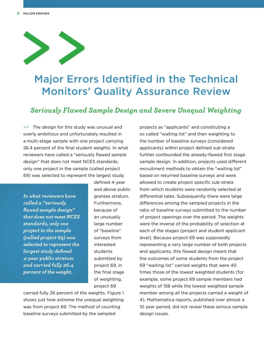

# Major Errors Identified in the Technical Monitors' Quality Assurance Review

## *Seriously Flawed Sample Design and Severe Unequal Weighting*

>> The design for this study was unusual and overly ambitious and unfortunately resulted in a multi-stage sample with one project carrying 26.4 percent of the final student weights. In what reviewers have called a "seriously flawed sample design" that does not meet NCES standards, only one project in the sample (called project 69) was selected to represent the largest study

*In what reviewers have called a "seriously flawed sample design" that does not meet NCES standards, only one project in the sample (called project 69) was selected to represent the largest study defined 4-year public stratum and carried fully 26.4 percent of the weight.*

defined 4-year and above public grantee stratum. Furthermore, because of an unusually large number of "baseline" surveys from interested students submitted by project 69, in the final stage of weighting, project 69

carried fully 26 percent of the weights. Figure 1 shows just how extreme the unequal weighting was from project 69. The method of counting baseline surveys submitted by the sampled

projects as "applicants" and constituting a so called "waiting list" and then weighting to the number of baseline surveys (considered applicants) within project defined sub-strata further confounded the already-flawed first stage sample design. In addition, projects used different recruitment methods to obtain the "waiting list" based on returned baseline surveys and were allowed to create project specific sub-strata from which students were randomly selected at differential rates. Subsequently there were large differences among the sampled projects in the ratio of baseline surveys submitted to the number of project openings over the period. The weights were the inverse of the probability of selection at each of the stages (project and student applicant level). Because project 69 was supposedly representing a very large number of both projects and applicants, this flawed design meant that the outcomes of some students from the project 69 "waiting list" carried weights that were 40 times those of the lowest weighted students (for example, some project 69 sample members had weights of 158 while the lowest weighted sample member among all the projects carried a weight of 4). Mathematica reports, published over almost a 10 year period, did not reveal these serious sample design issues.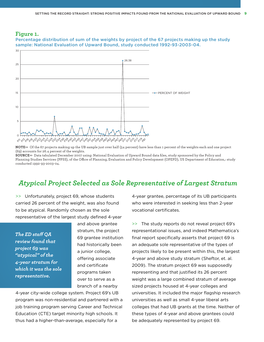#### **Figure 1.**

30

Percentage distribution of sum of the weights by project of the 67 projects making up the study sample: National Evaluation of Upward Bound, study conducted 1992-93-2003-04.



**NOTE>>** Of the 67 projects making up the UB sample just over half (54 percent) have less than 1 percent of the weights each and one project (69) accounts for 26.4 percent of the weights.

**SOURCE>>** Data tabulated December 2007 using: National Evaluation of Upward Bound data files, study sponsored by the Policy and Planning Studies Services (PPSS), of the Office of Planning, Evaluation and Policy Development (OPEPD), US Department of Education,: study conducted 1992-93-2003-04.

## *Atypical Project Selected as Sole Representative of Largest Stratum*

>> Unfortunately, project 69, whose students carried 26 percent of the weight, was also found to be atypical. Randomly chosen as the sole representative of the largest study defined 4-year

*The ED staff QA review found that project 69 was "atypical" of the 4-year stratum for which it was the sole representative.* 

and above grantee stratum, the project 69 grantee institution had historically been a junior college, offering associate and certificate programs taken over to serve as a branch of a nearby

4-year city-wide college system. Project 69's UB program was non-residential and partnered with a job training program serving Career and Technical Education (CTE) target minority high schools. It thus had a higher-than-average, especially for a

4-year grantee, percentage of its UB participants who were interested in seeking less than 2-year vocational certificates.

>> The study reports do not reveal project 69's representational issues, and indeed Mathematica's final report specifically asserts that project 69 is an adequate sole representative of the types of projects likely to be present within this, the largest 4-year and above study stratum (Sheftor, et. al. 2009). The stratum project 69 was supposedly representing and that justified its 26 percent weight was a large combined stratum of average sized projects housed at 4-year colleges and universities. It included the major flagship research universities as well as small 4-year liberal arts colleges that had UB grants at the time. Neither of these types of 4-year and above grantees could be adequately represented by project 69.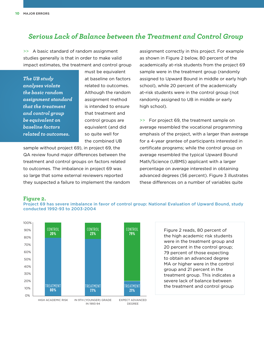## *Serious Lack of Balance between the Treatment and Control Group*

>> A basic standard of random assignment studies generally is that in order to make valid impact estimates, the treatment and control group

*The UB study analyses violate the basic random assignment standard that the treatment and control group be equivalent on baseline factors related to outcomes.*

must be equivalent at baseline on factors related to outcomes. Although the random assignment method is intended to ensure that treatment and control groups are equivalent (and did so quite well for the combined UB

sample without project 69), in project 69, the QA review found major differences between the treatment and control groups on factors related to outcomes. The imbalance in project 69 was so large that some external reviewers reported they suspected a failure to implement the random assignment correctly in this project. For example as shown in Figure 2 below, 80 percent of the academically at-risk students from the project 69 sample were in the treatment group (randomly assigned to Upward Bound in middle or early high school), while 20 percent of the academically at-risk students were in the control group (not randomly assigned to UB in middle or early high school).

>> For project 69, the treatment sample on average resembled the vocational programming emphasis of the project, with a larger than average for a 4-year grantee of participants interested in certificate programs; while the control group on average resembled the typical Upward Bound Math/Science (UBMS) applicant with a larger percentage on average interested in obtaining advanced degrees (56 percent). Figure 3 illustrates these differences on a number of variables quite

#### **Figure 2.**





Figure 2 reads, 80 percent of the high academic risk students were in the treatment group and 20 percent in the control group; 79 percent of those expecting to obtain an advanced degree MA or higher were in the control group and 21 percent in the treatment group. This indicates a severe lack of balance between the treatment and control group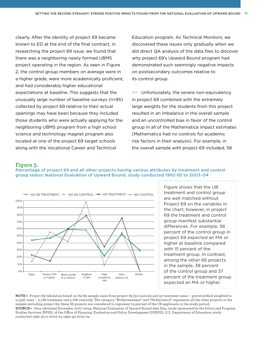clearly. After the identity of project 69 became known to ED at the end of the final contract, in researching the project 69 issue, we found that there was a neighboring newly formed UBMS project operating in the region. As seen in Figure 2, the control group members on average were in a higher grade, were more academically proficient, and had considerably higher educational expectations at baseline. This suggests that the unusually large number of baseline surveys (n=85) collected by project 69 relative to their actual openings may have been because they included those students who were actually applying for the neighboring UBMS program from a high school science and technology magnet program also located at one of the project 69 target schools along with the Vocational Career and Technical

Education program. As Technical Monitors, we discovered these issues only gradually when we did direct QA analysis of the data files to discover why project 69's Upward Bound program had demonstrated such seemingly negative impacts on postsecondary outcomes relative to its control group.

>> Unfortunately, the severe non-equivalency in project 69 combined with the extremely large weights for the students from this project resulted in an imbalance in the overall sample and an uncontrolled bias in favor of the control group in all of the Mathematica impact estimates (Mathematica had no controls for academic risk factors in their analysis). For example, in the overall sample with project 69 included, 58

#### **Figure 3.**

#### Percentage of project 69 and all other projects having various attributes by treatment and control group status: National Evaluation of Upward Bound, study conducted 1992-93 to 2003-04



Figure shows that the UB treatment and control group are well matched without Project 69 on the variables in the chart; however, in project 69 the treatment and control group manifest substantial differences. For example, 56 percent of the control group in project 69 expected an MA or higher at baseline compared with 15 percent of the treatment group. In contrast, among the other 66 projects in the sample, 38 percent of the control group and 37 percent of the treatment group expected an MA or higher.

**NOTE>>** Project 69 tabulation based on the 85 sample cases from project 69 (52 controls and 33 treatment cases -- poststratified weighted to 11,536 cases -- 5,768 treatment and 5,768 controls). The category "No69treatment" and "No69control" represents all the other projects in the sample excluding project 69; these 66 projects are considered to represent 74 percent of the UB applicants in the study period. **SOURCE>>** Data tabulated December 2007 using: National Evaluation of Upward Bound data files, study sponsored by the Policy and Program Studies Services (PPSS), of the Office of Planning, Evaluation and Policy Development (OPEPD), U.S. Department of Education; study conducted 1992-93 to 2003-04.1992-93-2003-04.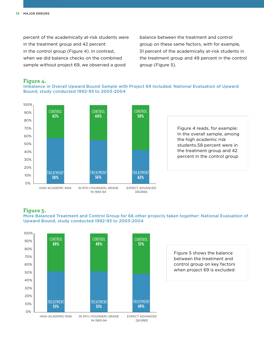percent of the academically at-risk students were in the treatment group and 42 percent in the control group (Figure 4). In contrast, when we did balance checks on the combined sample without project 69, we observed a good

balance between the treatment and control group on these same factors, with for example, 51 percent of the academically at-risk students in the treatment group and 49 percent in the control group (Figure 5).

**Figure 4.**

#### Imbalance in Overall Upward Bound Sample with Project 69 included: National Evaluation of Upward Bound, study conducted 1992-93 to 2003-2004



Figure 4 reads, for example: In the overall sample, among the high academic risk students,58 percent were in the treatment group and 42 percent in the control group

#### **Figure 5.**

More Balanced Treatment and Control Group for 66 other projects taken together: National Evaluation of Upward Bound, study conducted 1992-93 to 2003-2004



Figure 5 shows the balance between the treatment and control group on key factors when project 69 is excluded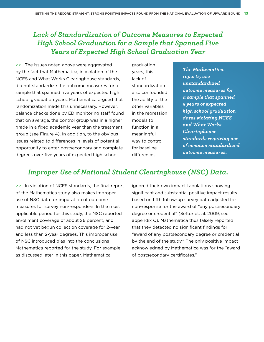## *Lack of Standardization of Outcome Measures to Expected High School Graduation for a Sample that Spanned Five Years of Expected High School Graduation Year*

>> The issues noted above were aggravated by the fact that Mathematica, in violation of the NCES and What Works Clearinghouse standards, did not standardize the outcome measures for a sample that spanned five years of expected high school graduation years. Mathematica argued that randomization made this unnecessary. However, balance checks done by ED monitoring staff found that on average, the control group was in a higher grade in a fixed academic year than the treatment group (see Figure 4). In addition, to the obvious issues related to differences in levels of potential opportunity to enter postsecondary and complete degrees over five years of expected high school

graduation years, this lack of standardization also confounded the ability of the other variables in the regression models to function in a meaningful way to control for baseline differences.

*The Mathematica reports, use unstandardized outcome measures for a sample that spanned 5 years of expected high school graduation dates violating NCES and What Works Clearinghouse standards requiring use of common standardized outcome measures.*

## *Improper Use of National Student Clearinghouse (NSC) Data.*

>> In violation of NCES standards, the final report of the Mathematica study also makes improper use of NSC data for imputation of outcome measures for survey non-responders. In the most applicable period for this study, the NSC reported enrollment coverage of about 26 percent, and had not yet begun collection coverage for 2-year and less than 2-year degrees. This improper use of NSC introduced bias into the conclusions Mathematica reported for the study. For example, as discussed later in this paper, Mathematica

ignored their own impact tabulations showing significant and substantial positive impact results based on fifth follow-up survey data adjusted for non-response for the award of "any postsecondary degree or credential" (Seftor et. al. 2009, see appendix C). Mathematica thus falsely reported that they detected no significant findings for "award of any postsecondary degree or credential by the end of the study." The only positive impact acknowledged by Mathematica was for the "award of postsecondary certificates."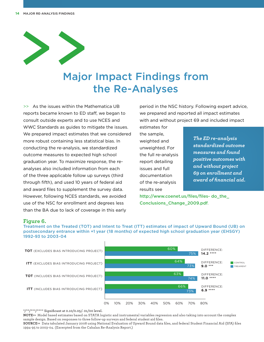

# Major Impact Findings from the Re-Analyses

>> As the issues within the Mathematica UB reports became known to ED staff, we began to consult outside experts and to use NCES and WWC Standards as guides to mitigate the issues. We prepared impact estimates that we considered more robust containing less statistical bias. In conducting the re-analysis, we standardized outcome measures to expected high school graduation year. To maximize response, the reanalyses also included information from each of the three applicable follow up surveys (third through fifth), and used 10 years of federal aid and award files to supplement the survey data. However, following NCES standards, we avoided use of the NSC for enrollment and degrees less than the BA due to lack of coverage in this early

period in the NSC history. Following expert advice, we prepared and reported all impact estimates with and without project 69 and included impact

estimates for the sample, weighted and unweighted. For the full re-analysis report detailing issues and full documentation of the re-analysis results see

*The ED re-analysis standardized outcome measures and found positive outcomes with and without project 69 on enrollment and award of financial aid.*

http://www.coenet.us/files/files- do\_the\_ Conclusions\_Change\_2009.pdf.

#### **Figure 6.**

Treatment on the Treated (TOT) and Intent to Treat (ITT) estimates of impact of Upward Bound (UB) on postsecondary entrance within +1 year (18 months) of expected high school graduation year (EHSGY) 1992-93 to 2003-04



**\*/\*\*/\*\*\*/\*\*\*\* Significant at 0.10/0.05/. 01/00 level.**

**NOTE>>** Model based estimates based on STATA logistic and instrumental variables regression and also taking into account the complex sample design. Based on responses to three follow-up surveys and federal student aid files.

**SOURCE>>** Data tabulated January 2008 using National Evaluation of Upward Bound data files, and federal Student Financial Aid (SFA) files 1994-95 to 2003-04. (Excerpted from the Cahalan Re-Analysis Report.)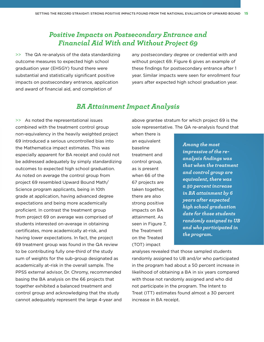## *Positive Impacts on Postsecondary Entrance and Financial Aid With and Without Project 69*

>> The QA re-analysis of the data standardizing outcome measures to expected high school graduation year (EHSGY) found there were substantial and statistically significant positive impacts on postsecondary entrance, application and award of financial aid, and completion of

any postsecondary degree or credential with and without project 69. Figure 6 gives an example of these findings for postsecondary entrance after 1 year. Similar impacts were seen for enrollment four years after expected high school graduation year.

## *BA Attainment Impact Analysis*

>> As noted the representational issues combined with the treatment control group non-equivalency in the heavily weighted project 69 introduced a serious uncontrolled bias into the Mathematica impact estimates. This was especially apparent for BA receipt and could not be addressed adequately by simply standardizing outcomes to expected high school graduation. As noted on average the control group from project 69 resembled Upward Bound Math/ Science program applicants, being in 10th grade at application, having advanced degree expectations and being more academically proficient. In contrast the treatment group from project 69 on average was comprised of students interested on-average in obtaining certificates, more academically at-risk, and having lower expectations. In fact, the project 69 treatment group was found in the QA review to be contributing fully one-third of the study sum of weights for the sub-group designated as academically at-risk in the overall sample. The PPSS external advisor, Dr. Chromy, recommended basing the BA analysis on the 66 projects that together exhibited a balanced treatment and control group and acknowledging that the study cannot adequately represent the large 4-year and above grantee stratum for which project 69 is the sole representative. The QA re-analysis found that

when there is an equivalent baseline treatment and control group, as is present when 66 of the 67 projects are taken together, there are also strong positive impacts on BA attainment. As seen in Figure 7, the Treatment on the Treated (TOT) impact

*Among the most impressive of the reanalysis findings was that when the treatment and control group are equivalent, there was a 50 percent increase in BA attainment by 6 years after expected high school graduation date for those students randomly assigned to UB and who participated in the program.* 

analyses revealed that those sampled students randomly assigned to UB and/or who participated in the program had about a 50 percent increase in likelihood of obtaining a BA in six years compared with those not randomly assigned and who did not participate in the program. The Intent to Treat (ITT) estimates found almost a 30 percent increase in BA receipt.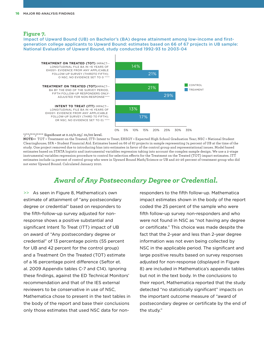#### **Figure 7.**

Impact of Upward Bound (UB) on Bachelor's (BA) degree attainment among low-income and firstgeneration college applicants to Upward Bound: estimates based on 66 of 67 projects in UB sample: National Evaluation of Upward Bound, study conducted 1992-93 to 2003-04



#### **\*/\*\*/\*\*\*/\*\*\*\* Significant at 0.10/0.05/. 01/00 level.**

**NOTE>>** TOT = Treatment on the Treated; ITT= Intent to Treat; EHSGY = Expected High School Graduation Year; NSC = National Student Clearinghouse; SFA = Student Financial Aid. Estimates based on 66 of 67 projects in sample representing 74 percent of UB at the time of the study. One project removed due to introducing bias into estimates in favor of the control group and representational issues. Model based estimates based on STATA logistic and instrumental variables regression taking into account the complex sample design. We use a 2-stage instrumental variables regression procedure to control for selection effects for the Treatment on the Treated (TOT) impact estimates. ITT estimates include 14 percent of control group who were in Upward Bound Math/Science or UB and 20-26 percent of treatment group who did not enter Upward Bound. Calculated January 2010.

## *Award of Any Postsecondary Degree or Credential.*

>> As seen in Figure 8, Mathematica's own estimate of attainment of "any postsecondary degree or credential" based on responders to the fifth-follow-up survey adjusted for nonresponse shows a positive substantial and significant Intent To Treat (ITT) impact of UB on award of "Any postsecondary degree or credential" of 13 percentage points (55 percent for UB and 42 percent for the control group) and a Treatment On the Treated (TOT) estimate of a 16 percentage point difference (Seftor et. al. 2009 Appendix tables C-7 and C14). Ignoring these findings, against the ED Technical Monitors' recommendation and that of the IES external reviewers to be conservative in use of NSC, Mathematica chose to present in the text tables in the body of the report and base their conclusions only those estimates that used NSC data for nonresponders to the fifth follow-up. Mathematica impact estimates shown in the body of the report coded the 25 percent of the sample who were fifth follow-up survey non-responders and who were not found in NSC as "not having any degree or certificate." This choice was made despite the fact that the 2-year and less than 2-year degree information was not even being collected by NSC in the applicable period. The significant and large positive results based on survey responses adjusted for non-response (displayed in Figure 8) are included in Mathematica's appendix tables but not in the text body. In the conclusions to their report, Mathematica reported that the study detected "no statistically significant" impacts on the important outcome measure of "award of postsecondary degree or certificate by the end of the study."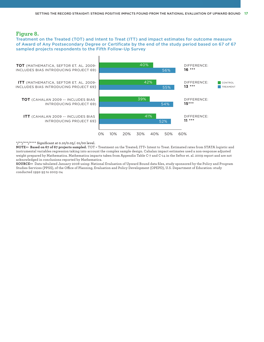#### **Figure 8.**

#### Treatment on the Treated (TOT) and Intent to Treat (ITT) and impact estimates for outcome measure of Award of Any Postsecondary Degree or Certificate by the end of the study period based on 67 of 67 sampled projects respondents to the Fifth Follow-Up Survey



#### **\*/\*\*/\*\*\*/\*\*\*\* Significant at 0.10/0.05/. 01/00 level.**

**NOTE>> Based on 67 of 67 projects sampled.** TOT = Treatment on the Treated; ITT= Intent to Treat. Estimated rates from STATA logistic and instrumental variables regression taking into account the complex sample design. Cahalan impact estimates used a non-response adjusted weight prepared by Mathematica. Mathematica impacts taken from Appendix Table C-7 and C-14 in the Seftor et. al. 2009 report and are not acknowledged in conclusions reported by Mathematica.

**SOURCE>>** Data tabulated January 2008 using: National Evaluation of Upward Bound data files, study sponsored by the Policy and Program Studies Services (PPSS), of the Office of Planning, Evaluation and Policy Development (OPEPD), U.S. Department of Education: study conducted 1992-93 to 2003-04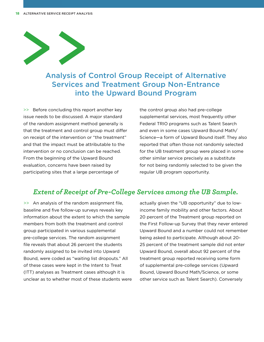

## Analysis of Control Group Receipt of Alternative Services and Treatment Group Non-Entrance into the Upward Bound Program

>> Before concluding this report another key issue needs to be discussed. A major standard of the random assignment method generally is that the treatment and control group must differ on receipt of the intervention or "the treatment" and that the impact must be attributable to the intervention or no conclusion can be reached. From the beginning of the Upward Bound evaluation, concerns have been raised by participating sites that a large percentage of

the control group also had pre-college supplemental services, most frequently other Federal TRIO programs such as Talent Search and even in some cases Upward Bound Math/ Science—a form of Upward Bound itself. They also reported that often those not randomly selected for the UB treatment group were placed in some other similar service precisely as a substitute for not being randomly selected to be given the regular UB program opportunity.

## *Extent of Receipt of Pre-College Services among the UB Sample.*

>> An analysis of the random assignment file, baseline and five follow-up surveys reveals key information about the extent to which the sample members from both the treatment and control group participated in various supplemental pre-college services. The random assignment file reveals that about 26 percent the students randomly assigned to be invited into Upward Bound, were coded as "waiting list dropouts." All of these cases were kept in the Intent to Treat (ITT) analyses as Treatment cases although it is unclear as to whether most of these students were actually given the "UB opportunity" due to lowincome family mobility and other factors. About 20 percent of the Treatment group reported on the First Follow-up Survey that they never entered Upward Bound and a number could not remember being asked to participate. Although about 20- 25 percent of the treatment sample did not enter Upward Bound, overall about 92 percent of the treatment group reported receiving some form of supplemental pre-college services (Upward Bound, Upward Bound Math/Science, or some other service such as Talent Search). Conversely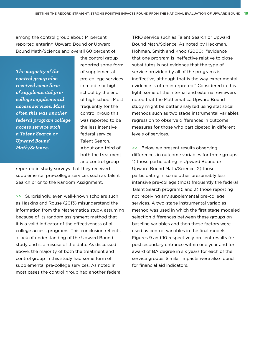among the control group about 14 percent reported entering Upward Bound or Upward Bound Math/Science and overall 60 percent of

*The majority of the control group also received some form of supplemental precollege supplemental access services. Most often this was another federal program college access service such a Talent Search or Upward Bound Math/Science.*

the control group reported some form of supplemental pre-college services in middle or high school by the end of high school. Most frequently for the control group this was reported to be the less intensive federal service, Talent Search. About one-third of both the treatment and control group

reported in study surveys that they received supplemental pre-college services such as Talent Search prior to the Random Assignment.

>> Surprisingly, even well-known scholars such as Haskins and Rouse (2013) misunderstand the information from the Mathematica study, assuming because of its random assignment method that it is a valid indicator of the effectiveness of all college access programs. This conclusion reflects a lack of understanding of the Upward Bound study and is a misuse of the data. As discussed above, the majority of both the treatment and control group in this study had some form of supplemental pre-college services. As noted in most cases the control group had another federal

TRIO service such as Talent Search or Upward Bound Math/Science. As noted by Heckman, Hohman, Smith and Khoo (2000), "evidence that one program is ineffective relative to close substitutes is not evidence that the type of service provided by all of the programs is ineffective, although that is the way experimental evidence is often interpreted." Considered in this light, some of the internal and external reviewers noted that the Mathematica Upward Bound study might be better analyzed using statistical methods such as two stage instrumental variables regression to observe differences in outcome measures for those who participated in different levels of services.

>> Below we present results observing differences in outcome variables for three groups: 1) those participating in Upward Bound or Upward Bound Math/Science; 2) those participating in some other presumably less intensive pre-college (most frequently the federal Talent Search program); and 3) those reporting not receiving any supplemental pre-college services. A two-stage instrumental variables method was used in which the first stage modeled selection differences between these groups on baseline variables and then these factors were used as control variables in the final models. Figures 9 and 10 respectively present results for postsecondary entrance within one year and for award of BA degree in six years for each of the service groups. Similar impacts were also found for financial aid indicators.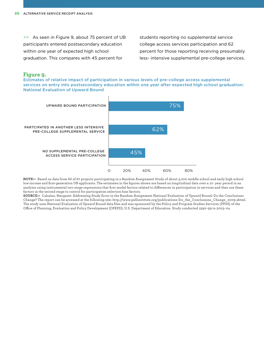>> As seen in Figure 9, about 75 percent of UB participants entered postsecondary education within one year of expected high school graduation. This compares with 45 percent for

students reporting no supplemental service college access services participation and 62 percent for those reporting receiving presumably less- intensive supplemental pre-college services.

#### **Figure 9.**

Estimates of relative impact of participation in various levels of pre-college access supplemental services on entry into postsecondary education within one year after expected high school graduation: National Evaluation of Upward Bound



**NOTE>>** Based on data from 66 of 67 projects participating in a Random Assignment Study of about 3,000 middle school and early high school low-income and first-generation UB applicants. The estimates in the figures shown are based on longitudinal data over a 10- year period in an analysis using instrumental two-stage regressions that first model factors related to differences in participation in services and then use these factors in the second stage to control for participation selection bias factors.

**SOURCE>>** Cahalan, Margaret: Addressing Study Error in the Random Assignment National Evaluation of Upward Bound: Do the Conclusions Change? The report can be accessed at the following site: http://www.pellinstitute.org/publications-Do\_the\_Conclusions\_Change\_2009.shtml. The study uses National Evaluation of Upward Bound data files and was sponsored by the Policy and Program Studies Services (PPSS) of the Office of Planning, Evaluation and Policy Development (OPEPD), U.S. Department of Education. Study conducted 1992–99 to 2003–04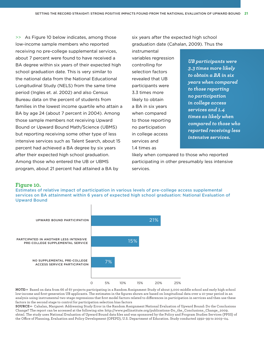>> As Figure 10 below indicates, among those low-income sample members who reported receiving no pre-college supplemental services, about 7 percent were found to have received a BA degree within six years of their expected high school graduation date. This is very similar to the national data from the National Educational Longitudinal Study (NELS) from the same time period (Ingles et. al. 2002) and also Census Bureau data on the percent of students from families in the lowest income quartile who attain a BA by age 24 (about 7 percent in 2004). Among those sample members not receiving Upward Bound or Upward Bound Math/Science (UBMS) but reporting receiving some other type of less intensive services such as Talent Search, about 15 percent had achieved a BA degree by six years after their expected high school graduation. Among those who entered the UB or UBMS program, about 21 percent had attained a BA by

six years after the expected high school graduation date (Cahalan, 2009). Thus the

instrumental variables regression controlling for selection factors revealed that UB participants were 3.3 times more likely to obtain a BA in six years when compared to those reporting no participation in college access services and 1.4 times as

*UB participants were 3.3 times more likely to obtain a BA in six years when compared to those reporting no participation in college access services and 1.4 times as likely when compared to those who reported receiving less intensive services.*

likely when compared to those who reported participating in other presumably less intensive services.

#### **Figure 10.**

Estimates of relative impact of participation in various levels of pre-college access supplemental services on BA attainment within 6 years of expected high school graduation: National Evaluation of Upward Bound



**NOTE>>** Based on data from 66 of 67 projects participating in a Random Assignment Study of about 3,000 middle school and early high school low-income and first-generation UB applicants. The estimates in the figures shown are based on longitudinal data over a 10-year period in an analysis using instrumental two-stage regressions that first model factors related to differences in participation in services and then use these factors in the second stage to control for participation selection bias factors

**SOURCE>>** Cahalan, Margaret: Addressing Study Error in the Random Assignment National Evaluation of Upward Bound: Do the Conclusions Change? The report can be accessed at the following site: http://www.pellinstitute.org/publications-Do\_the\_Conclusions\_Change\_2009. shtml. The study uses National Evaluation of Upward Bound data files and was sponsored by the Policy and Program Studies Services (PPSS) of the Office of Planning, Evaluation and Policy Development (OPEPD), U.S. Department of Education. Study conducted 1992–99 to 2003–04.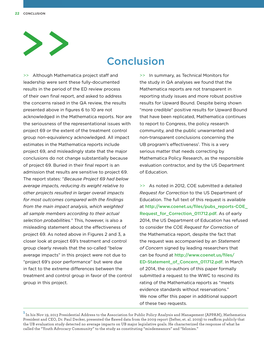

## Conclusion

>> Although Mathematica project staff and leadership were sent these fully-documented results in the period of the ED review process of their own final report, and asked to address the concerns raised in the QA review, the results presented above in figures 6 to 10 are not acknowledged in the Mathematica reports. Nor are the seriousness of the representational issues with project 69 or the extent of the treatment control group non-equivalency acknowledged. All impact estimates in the Mathematica reports include project 69, and misleadingly state that the major conclusions do not change substantially because of project 69. Buried in their final report is an admission that results are sensitive to project 69. The report states: "*Because Project 69 had below average impacts, reducing its weight relative to other projects resulted in larger overall impacts for most outcomes compared with the findings from the main impact analysis, which weighted all sample members according to their actual selection probabilities.*" This, however, is also a misleading statement about the effectiveness of project 69. As noted above in Figures 2 and 3, a closer look at project 69's treatment and control group clearly reveals that the so-called "below average impacts" in this project were not due to "project 69's poor performance" but were due in fact to the extreme differences between the treatment and control group in favor of the control group in this project.

>> In summary, as Technical Monitors for the study in QA analyses we found that the Mathematica reports are not transparent in reporting study issues and more robust positive results for Upward Bound. Despite being shown "more credible" positive results for Upward Bound that have been replicated, Mathematica continues to report to Congress, the policy research community, and the public unwarranted and non-transparent conclusions concerning the UB program's effectiveness<sup>1</sup>. This is a very serious matter that needs correcting by Mathematica Policy Research, as the responsible evaluation contractor, and by the US Department of Education.

>> As noted in 2012, COE submitted a detailed *Request for Correction* to the US Department of Education. The full text of this request is available at http://www.coenet.us/files/pubs\_reports-COE\_ Request\_for\_Correction\_011712.pdf. As of early 2014, the US Department of Education has refused to consider the COE *Request for Correction* of the Mathematica report, despite the fact that the request was accompanied by an *Statement of Concern* signed by leading researchers that can be found at http://www.coenet.us/files/ ED-Statement\_of\_Concern\_011712.pdf. In March of 2014, the co-authors of this paper formally submitted a request to the WWC to rescind its rating of the Mathematica reports as "meets evidence standards without reservations." We now offer this paper in additional support of these two requests.

**<sup>1</sup>** In his Nov 19, 2013 Presidential Address to the Association for Public Policy Analysis and Management (APPAM), Mathematica President and CEO, Dr. Paul Decker, presented the flawed data from the 2009 report (Sefter, et. al. 2009) to reaffirm publicly that the UB evaluation study detected no average impacts on UB major legislative goals. He characterized the response of what he called the "Youth Advocacy Community" to the study as constituting "misdemeanors" and "felonies."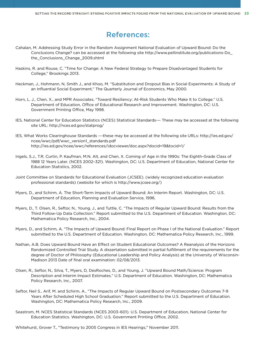## References:

- Cahalan, M. Addressing Study Error in the Random Assignment National Evaluation of Upward Bound: Do the Conclusions Change? can be accessed at the following site http://www.pellinstitute.org/publications-Do\_ the Conclusions Change 2009.shtml
- Haskins, R. and Rouse, C. "Time for Change: A New Federal Strategy to Prepare Disadvantaged Students for College," Brookings 2013.
- Heckman, J., Hohmann, N, Smith J., and Khoo, M. "Substitution and Dropout Bias in Social Experiments: A Study of an Influential Social Experiment," The Quarterly Journal of Economics, May 2000.
- Horn, L. J., Chen, X., and MPR Associates. "Toward Resiliency: At-Risk Students Who Make It to College." U.S. Department of Education, Office of Educational Research and Improvement. Washington, DC: U.S. Government Printing Office, May 1998.
- IES, National Center for Education Statistics (NCES) Statistical Standards--- These may be accessed at the following site URL: http://nces.ed.gov/statprog/
- IES, What Works Clearinghouse Standards ---these may be accessed at the following site URLs: http://ies.ed.gov/ ncee/wwc/pdf/wwc\_version1\_standards.pdf http://ies.ed.gov/ncee/wwc/references/idocviewer/doc.aspx?docid=19&tocid=1/
- Ingels, S.J., T.R. Curtin, P. Kaufman, M.N. Alt, and Chen, X. Coming of Age in the 1990s: The Eighth-Grade Class of 1988 12 Years Later. (NCES 2002–321). Washington, DC: U.S. Department of Education, National Center for Education Statistics, 2002.
- Joint Committee on Standards for Educational Evaluation (JCSEE). (widely recognized education evaluation professional standards) (website for which is http://www.jcsee.org/)
- Myers, D., and Schirm, A. The Short-Term Impacts of Upward Bound: An Interim Report. Washington, DC: U.S. Department of Education, Planning and Evaluation Service, 1996.
- Myers, D., T. Olsen, R., Seftor, N., Young, J., and Tuttle, C. "The Impacts of Regular Upward Bound: Results from the Third Follow-Up Data Collection." Report submitted to the U.S. Department of Education. Washington, DC: Mathematica Policy Research, Inc., 2004.
- Myers, D., and Schirm, A. "The Impacts of Upward Bound: Final Report on Phase I of the National Evaluation." Report submitted to the U.S. Department of Education. Washington, DC: Mathematica Policy Research, Inc., 1999.
- Nathan, A.B. Does Upward Bound Have an Effect on Student Educational Outcomes? A Reanalysis of the Horizons Randomized Controlled Trial Study. A dissertation submitted in partial fulfillment of the requirements for the degree of Doctor of Philosophy (Educational Leadership and Policy Analysis) at the University of Wisconsin-Madison 2013 Date of final oral examination: 02/08/2013.
- Olsen, R., Seftor, N., Silva, T., Myers, D, DesRoches, D., and Young, J. "Upward Bound Math/Science: Program Description and Interim Impact Estimates." U.S. Department of Education. Washington, DC: Mathematica Policy Research, Inc., 2007.
- Seftor, Neil S., Arif, M. and Schirm, A.. "The Impacts of Regular Upward Bound on Postsecondary Outcomes 7-9 Years After Scheduled High School Graduation." Report submitted to the U.S. Department of Education. Washington, DC: Mathematica Policy Research, Inc., 2009.
- Seastrom, M. NCES Statistical Standards (NCES 2003–601). U.S. Department of Education, National Center for Education Statistics. Washington, DC: U.S. Government Printing Office, 2002.
- Whitehurst, Grover T., "Testimony to 2005 Congress in IES Hearings," November 2011.